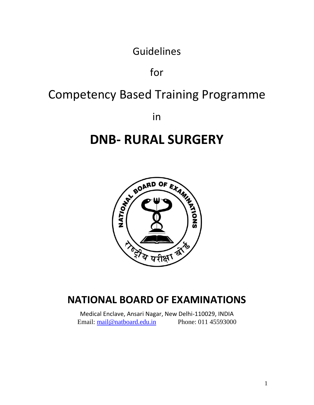Guidelines

for

# Competency Based Training Programme

in

# **DNB- RURAL SURGERY**



# **NATIONAL BOARD OF EXAMINATIONS**

Medical Enclave, Ansari Nagar, New Delhi-110029, INDIA Email: [mail@natboard.edu.in](mailto:mail@natboard.edu.in) Phone: 011 45593000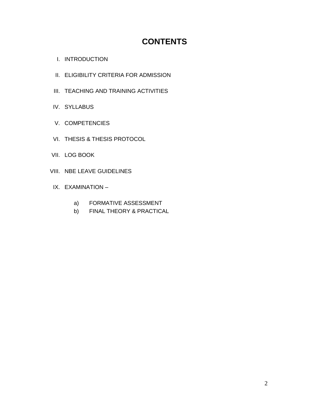# **CONTENTS**

- I. INTRODUCTION
- II. ELIGIBILITY CRITERIA FOR ADMISSION
- III. TEACHING AND TRAINING ACTIVITIES
- IV. SYLLABUS
- V. COMPETENCIES
- VI. THESIS & THESIS PROTOCOL
- VII. LOG BOOK
- VIII. NBE LEAVE GUIDELINES
- IX. EXAMINATION
	- a) FORMATIVE ASSESSMENT
	- b) FINAL THEORY & PRACTICAL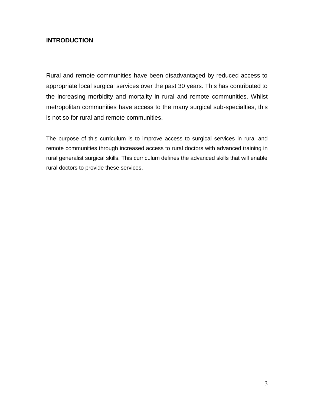### **INTRODUCTION**

Rural and remote communities have been disadvantaged by reduced access to appropriate local surgical services over the past 30 years. This has contributed to the increasing morbidity and mortality in rural and remote communities. Whilst metropolitan communities have access to the many surgical sub-specialties, this is not so for rural and remote communities.

The purpose of this curriculum is to improve access to surgical services in rural and remote communities through increased access to rural doctors with advanced training in rural generalist surgical skills. This curriculum defines the advanced skills that will enable rural doctors to provide these services.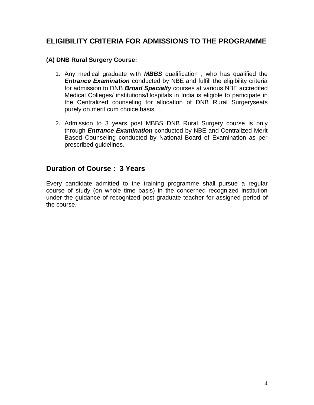# **ELIGIBILITY CRITERIA FOR ADMISSIONS TO THE PROGRAMME**

### **(A) DNB Rural Surgery Course:**

- 1. Any medical graduate with *MBBS* qualification , who has qualified the *Entrance Examination* conducted by NBE and fulfill the eligibility criteria for admission to DNB *Broad Specialty* courses at various NBE accredited Medical Colleges/ institutions/Hospitals in India is eligible to participate in the Centralized counseling for allocation of DNB Rural Surgeryseats purely on merit cum choice basis.
- 2. Admission to 3 years post MBBS DNB Rural Surgery course is only through *Entrance Examination* conducted by NBE and Centralized Merit Based Counseling conducted by National Board of Examination as per prescribed guidelines.

# **Duration of Course : 3 Years**

Every candidate admitted to the training programme shall pursue a regular course of study (on whole time basis) in the concerned recognized institution under the guidance of recognized post graduate teacher for assigned period of the course.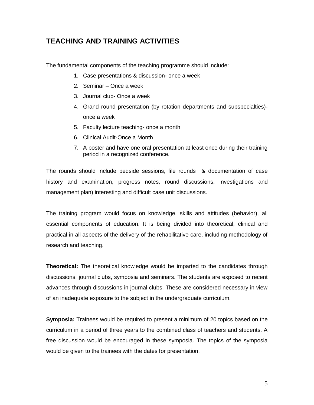## **TEACHING AND TRAINING ACTIVITIES**

The fundamental components of the teaching programme should include:

- 1. Case presentations & discussion- once a week
- 2. Seminar Once a week
- 3. Journal club- Once a week
- 4. Grand round presentation (by rotation departments and subspecialties) once a week
- 5. Faculty lecture teaching- once a month
- 6. Clinical Audit-Once a Month
- 7. A poster and have one oral presentation at least once during their training period in a recognized conference.

The rounds should include bedside sessions, file rounds & documentation of case history and examination, progress notes, round discussions, investigations and management plan) interesting and difficult case unit discussions.

The training program would focus on knowledge, skills and attitudes (behavior), all essential components of education. It is being divided into theoretical, clinical and practical in all aspects of the delivery of the rehabilitative care, including methodology of research and teaching.

**Theoretical:** The theoretical knowledge would be imparted to the candidates through discussions, journal clubs, symposia and seminars. The students are exposed to recent advances through discussions in journal clubs. These are considered necessary in view of an inadequate exposure to the subject in the undergraduate curriculum.

**Symposia:** Trainees would be required to present a minimum of 20 topics based on the curriculum in a period of three years to the combined class of teachers and students. A free discussion would be encouraged in these symposia. The topics of the symposia would be given to the trainees with the dates for presentation.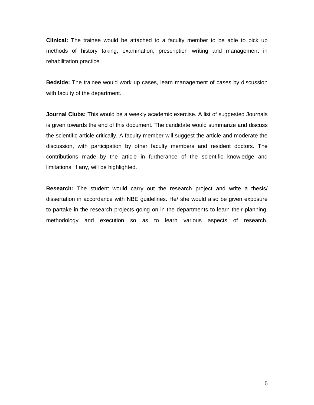**Clinical:** The trainee would be attached to a faculty member to be able to pick up methods of history taking, examination, prescription writing and management in rehabilitation practice.

**Bedside:** The trainee would work up cases, learn management of cases by discussion with faculty of the department.

**Journal Clubs:** This would be a weekly academic exercise. A list of suggested Journals is given towards the end of this document. The candidate would summarize and discuss the scientific article critically. A faculty member will suggest the article and moderate the discussion, with participation by other faculty members and resident doctors. The contributions made by the article in furtherance of the scientific knowledge and limitations, if any, will be highlighted.

**Research:** The student would carry out the research project and write a thesis/ dissertation in accordance with NBE guidelines. He/ she would also be given exposure to partake in the research projects going on in the departments to learn their planning, methodology and execution so as to learn various aspects of research.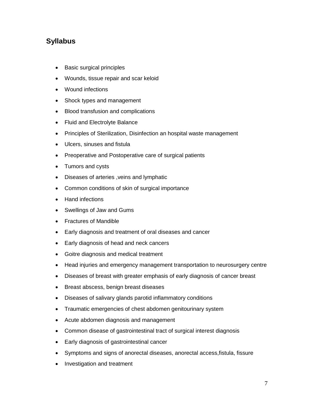# **Syllabus**

- Basic surgical principles
- Wounds, tissue repair and scar keloid
- Wound infections
- Shock types and management
- Blood transfusion and complications
- Fluid and Electrolyte Balance
- Principles of Sterilization, Disinfection an hospital waste management
- Ulcers, sinuses and fistula
- Preoperative and Postoperative care of surgical patients
- Tumors and cysts
- Diseases of arteries ,veins and lymphatic
- Common conditions of skin of surgical importance
- Hand infections
- Swellings of Jaw and Gums
- Fractures of Mandible
- Early diagnosis and treatment of oral diseases and cancer
- Early diagnosis of head and neck cancers
- Goitre diagnosis and medical treatment
- Head injuries and emergency management transportation to neurosurgery centre
- Diseases of breast with greater emphasis of early diagnosis of cancer breast
- Breast abscess, benign breast diseases
- Diseases of salivary glands parotid inflammatory conditions
- Traumatic emergencies of chest abdomen genitourinary system
- Acute abdomen diagnosis and management
- Common disease of gastrointestinal tract of surgical interest diagnosis
- Early diagnosis of gastrointestinal cancer
- Symptoms and signs of anorectal diseases, anorectal access,fistula, fissure
- Investigation and treatment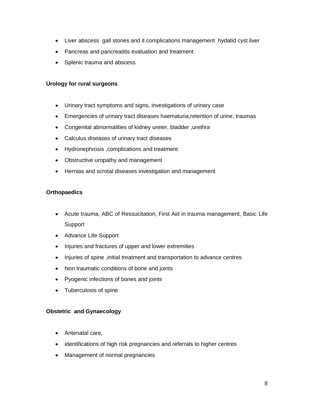- Liver abscess gall stones and it complications management hydatid cyst liver
- Pancreas and pancreatitis evaluation and treatment
- Splenic trauma and abscess

#### **Urology for rural surgeons**

- Urinary tract symptoms and signs, investigations of urinary case
- Emergencies of urinary tract diseases haematuria,retention of urine, traumas
- Congenital abnormalities of kidney ureter, bladder ,urethra
- Calculus diseases of urinary tract diseases
- Hydronephrosis ,complications and treatment
- Obstructive uropathy and management
- Hernias and scrotal diseases investigation and management

#### **Orthopaedics**

- Acute trauma, ABC of Ressucitation, First Aid in trauma management, Basic Life **Support**
- Advance Life Support
- Injuries and fractures of upper and lower extremities
- Injuries of spine ,initial treatment and transportation to advance centres
- Non traumatic conditions of bone and joints
- Pyogenic infections of bones and joints
- Tuberculosis of spine

#### **Obstetric and Gynaecology**

- Antenatal care,
- identifications of high risk pregnancies and referrals to higher centres
- Management of normal pregnancies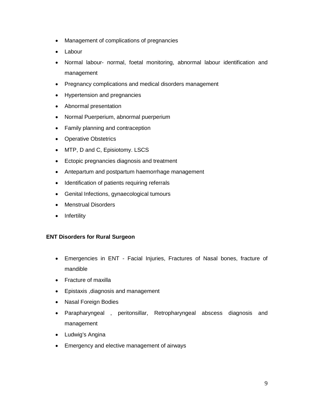- Management of complications of pregnancies
- Labour
- Normal labour- normal, foetal monitoring, abnormal labour identification and management
- Pregnancy complications and medical disorders management
- Hypertension and pregnancies
- Abnormal presentation
- Normal Puerperium, abnormal puerperium
- Family planning and contraception
- Operative Obstetrics
- MTP, D and C, Episiotomy. LSCS
- Ectopic pregnancies diagnosis and treatment
- Antepartum and postpartum haemorrhage management
- Identification of patients requiring referrals
- Genital Infections, gynaecological tumours
- Menstrual Disorders
- Infertility

#### **ENT Disorders for Rural Surgeon**

- Emergencies in ENT Facial Injuries, Fractures of Nasal bones, fracture of mandible
- Fracture of maxilla
- Epistaxis ,diagnosis and management
- Nasal Foreign Bodies
- Parapharyngeal , peritonsillar, Retropharyngeal abscess diagnosis and management
- Ludwig's Angina
- Emergency and elective management of airways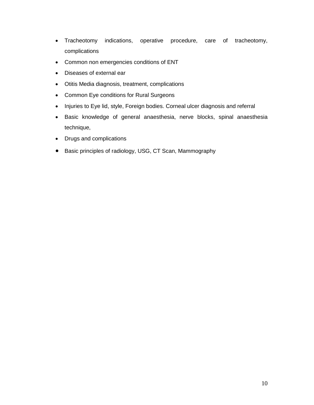- Tracheotomy indications, operative procedure, care of tracheotomy, complications
- Common non emergencies conditions of ENT
- Diseases of external ear
- Otitis Media diagnosis, treatment, complications
- Common Eye conditions for Rural Surgeons
- Injuries to Eye lid, style, Foreign bodies. Corneal ulcer diagnosis and referral
- Basic knowledge of general anaesthesia, nerve blocks, spinal anaesthesia technique,
- Drugs and complications
- Basic principles of radiology, USG, CT Scan, Mammography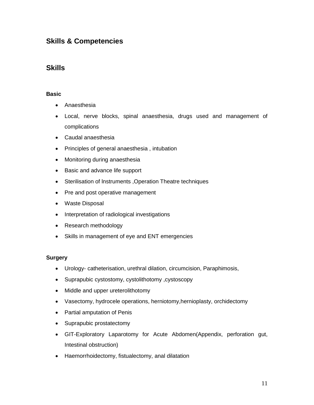# **Skills & Competencies**

## **Skills**

#### **Basic**

- Anaesthesia
- Local, nerve blocks, spinal anaesthesia, drugs used and management of complications
- Caudal anaesthesia
- Principles of general anaesthesia , intubation
- Monitoring during anaesthesia
- Basic and advance life support
- Sterilisation of lnstruments ,Operation Theatre techniques
- Pre and post operative management
- Waste Disposal
- Interpretation of radiological investigations
- Research methodology
- Skills in management of eye and ENT emergencies

#### **Surgery**

- Urology- catheterisation, urethral dilation, circumcision, Paraphimosis,
- Suprapubic cystostomy, cystolithotomy ,cystoscopy
- Middle and upper ureterolithotomy
- Vasectomy, hydrocele operations, herniotomy,hernioplasty, orchidectomy
- Partial amputation of Penis
- Suprapubic prostatectomy
- GIT-Exploratory Laparotomy for Acute Abdomen(Appendix, perforation gut, Intestinal obstruction)
- Haemorrhoidectomy, fistualectomy, anal dilatation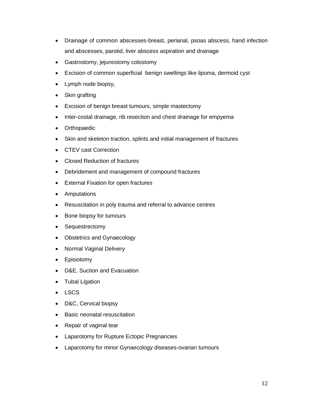- Drainage of common abscesses-breast, perianal, psoas abscess, hand infection and abscesses, parotid, liver abscess aspiration and drainage
- Gastrostomy, jejunostomy colostomy
- Excision of common superficial benign swellings like lipoma, dermoid cyst
- Lymph node biopsy,
- Skin grafting
- Excision of benign breast tumours, simple mastectomy
- Inter-costal drainage, rib resection and chest drainage for empyema
- Orthopaedic
- Skin and skeleton traction, splints and initial management of fractures
- CTEV cast Correction
- Closed Reduction of fractures
- Debridement and management of compound fractures
- External Fixation for open fractures
- Amputations
- Resuscitation in poly trauma and referral to advance centres
- Bone biopsy for tumours
- Sequestrectomy
- Obstetrics and Gynaecology
- Normal Vaginal Delivery
- Episiotomy
- D&E, Suction and Evacuation
- Tubal Ligation
- LSCS
- D&C, Cervical biopsy
- Basic neonatal resuscitation
- Repair of vaginal tear
- Laparotomy for Rupture Ectopic Pregnancies
- Laparotomy for minor Gynaecology diseases-ovarian tumours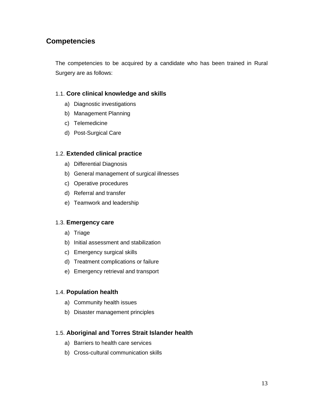# **Competencies**

The competencies to be acquired by a candidate who has been trained in Rural Surgery are as follows:

### 1.1. **Core clinical knowledge and skills**

- a) Diagnostic investigations
- b) Management Planning
- c) Telemedicine
- d) Post-Surgical Care

#### 1.2. **Extended clinical practice**

- a) Differential Diagnosis
- b) General management of surgical illnesses
- c) Operative procedures
- d) Referral and transfer
- e) Teamwork and leadership

#### 1.3. **Emergency care**

- a) Triage
- b) Initial assessment and stabilization
- c) Emergency surgical skills
- d) Treatment complications or failure
- e) Emergency retrieval and transport

#### 1.4. **Population health**

- a) Community health issues
- b) Disaster management principles

#### 1.5. **Aboriginal and Torres Strait Islander health**

- a) Barriers to health care services
- b) Cross-cultural communication skills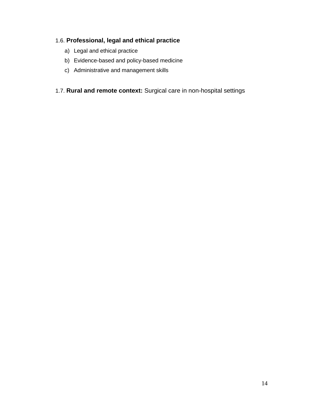# 1.6. **Professional, legal and ethical practice**

- a) Legal and ethical practice
- b) Evidence-based and policy-based medicine
- c) Administrative and management skills
- 1.7. **Rural and remote context:** Surgical care in non-hospital settings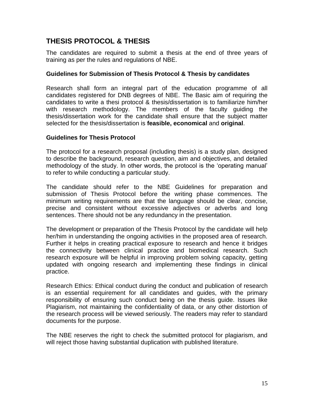# **THESIS PROTOCOL & THESIS**

The candidates are required to submit a thesis at the end of three years of training as per the rules and regulations of NBE.

### **Guidelines for Submission of Thesis Protocol & Thesis by candidates**

Research shall form an integral part of the education programme of all candidates registered for DNB degrees of NBE. The Basic aim of requiring the candidates to write a thesi protocol & thesis/dissertation is to familiarize him/her with research methodology. The members of the faculty guiding the thesis/dissertation work for the candidate shall ensure that the subject matter selected for the thesis/dissertation is **feasible, economical** and **original**.

### **Guidelines for Thesis Protocol**

The protocol for a research proposal (including thesis) is a study plan, designed to describe the background, research question, aim and objectives, and detailed methodology of the study. In other words, the protocol is the 'operating manual' to refer to while conducting a particular study.

The candidate should refer to the NBE Guidelines for preparation and submission of Thesis Protocol before the writing phase commences. The minimum writing requirements are that the language should be clear, concise, precise and consistent without excessive adjectives or adverbs and long sentences. There should not be any redundancy in the presentation.

The development or preparation of the Thesis Protocol by the candidate will help her/him in understanding the ongoing activities in the proposed area of research. Further it helps in creating practical exposure to research and hence it bridges the connectivity between clinical practice and biomedical research. Such research exposure will be helpful in improving problem solving capacity, getting updated with ongoing research and implementing these findings in clinical practice.

Research Ethics: Ethical conduct during the conduct and publication of research is an essential requirement for all candidates and guides, with the primary responsibility of ensuring such conduct being on the thesis guide. Issues like Plagiarism, not maintaining the confidentiality of data, or any other distortion of the research process will be viewed seriously. The readers may refer to standard documents for the purpose.

The NBE reserves the right to check the submitted protocol for plagiarism, and will reject those having substantial duplication with published literature.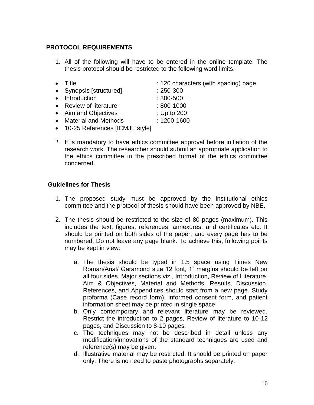### **PROTOCOL REQUIREMENTS**

- 1. All of the following will have to be entered in the online template. The thesis protocol should be restricted to the following word limits.
- Title **in the set of the set of the set of the set of the set of the set of the set of the set of the set of the set of the set of the set of the set of the set of the set of the set of the set of the set of the set of t** • Synopsis [structured] : 250-300 • Introduction : 300-500 • Review of literature : 800-1000 • Aim and Objectives : Up to 200 • Material and Methods : 1200-1600
- 10-25 References [ICMJE style]
- 2. It is mandatory to have ethics committee approval before initiation of the research work. The researcher should submit an appropriate application to the ethics committee in the prescribed format of the ethics committee concerned.

#### **Guidelines for Thesis**

- 1. The proposed study must be approved by the institutional ethics committee and the protocol of thesis should have been approved by NBE.
- 2. The thesis should be restricted to the size of 80 pages (maximum). This includes the text, figures, references, annexures, and certificates etc. It should be printed on both sides of the paper; and every page has to be numbered. Do not leave any page blank. To achieve this, following points may be kept in view:
	- a. The thesis should be typed in 1.5 space using Times New Roman/Arial/ Garamond size 12 font, 1" margins should be left on all four sides. Major sections viz., Introduction, Review of Literature, Aim & Objectives, Material and Methods, Results, Discussion, References, and Appendices should start from a new page. Study proforma (Case record form), informed consent form, and patient information sheet may be printed in single space.
	- b. Only contemporary and relevant literature may be reviewed. Restrict the introduction to 2 pages, Review of literature to 10-12 pages, and Discussion to 8-10 pages.
	- c. The techniques may not be described in detail unless any modification/innovations of the standard techniques are used and reference(s) may be given.
	- d. Illustrative material may be restricted. It should be printed on paper only. There is no need to paste photographs separately.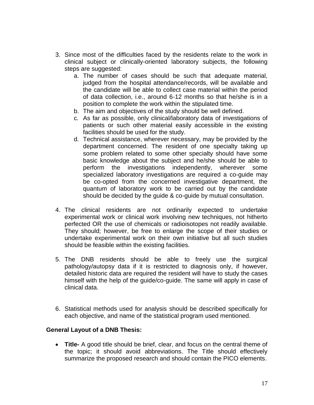- 3. Since most of the difficulties faced by the residents relate to the work in clinical subject or clinically-oriented laboratory subjects, the following steps are suggested:
	- a. The number of cases should be such that adequate material, judged from the hospital attendance/records, will be available and the candidate will be able to collect case material within the period of data collection, i.e., around 6-12 months so that he/she is in a position to complete the work within the stipulated time.
	- b. The aim and objectives of the study should be well defined.
	- c. As far as possible, only clinical/laboratory data of investigations of patients or such other material easily accessible in the existing facilities should be used for the study.
	- d. Technical assistance, wherever necessary, may be provided by the department concerned. The resident of one specialty taking up some problem related to some other specialty should have some basic knowledge about the subject and he/she should be able to perform the investigations independently, wherever some specialized laboratory investigations are required a co-guide may be co-opted from the concerned investigative department, the quantum of laboratory work to be carried out by the candidate should be decided by the guide & co-guide by mutual consultation.
- 4. The clinical residents are not ordinarily expected to undertake experimental work or clinical work involving new techniques, not hitherto perfected OR the use of chemicals or radioisotopes not readily available. They should; however, be free to enlarge the scope of their studies or undertake experimental work on their own initiative but all such studies should be feasible within the existing facilities.
- 5. The DNB residents should be able to freely use the surgical pathology/autopsy data if it is restricted to diagnosis only, if however, detailed historic data are required the resident will have to study the cases himself with the help of the guide/co-guide. The same will apply in case of clinical data.
- 6. Statistical methods used for analysis should be described specifically for each objective, and name of the statistical program used mentioned.

### **General Layout of a DNB Thesis:**

• **Title-** A good title should be brief, clear, and focus on the central theme of the topic; it should avoid abbreviations. The Title should effectively summarize the proposed research and should contain the PICO elements.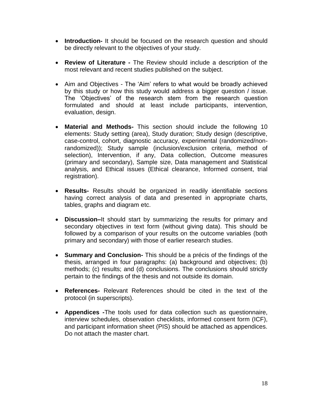- **Introduction-** It should be focused on the research question and should be directly relevant to the objectives of your study.
- **Review of Literature -** The Review should include a description of the most relevant and recent studies published on the subject.
- Aim and Objectives The 'Aim' refers to what would be broadly achieved by this study or how this study would address a bigger question / issue. The 'Objectives' of the research stem from the research question formulated and should at least include participants, intervention, evaluation, design.
- **Material and Methods-** This section should include the following 10 elements: Study setting (area), Study duration; Study design (descriptive, case-control, cohort, diagnostic accuracy, experimental (randomized/nonrandomized)); Study sample (inclusion/exclusion criteria, method of selection), Intervention, if any, Data collection, Outcome measures (primary and secondary), Sample size, Data management and Statistical analysis, and Ethical issues (Ethical clearance, Informed consent, trial registration).
- **Results-** Results should be organized in readily identifiable sections having correct analysis of data and presented in appropriate charts, tables, graphs and diagram etc.
- **Discussion–**It should start by summarizing the results for primary and secondary objectives in text form (without giving data). This should be followed by a comparison of your results on the outcome variables (both primary and secondary) with those of earlier research studies.
- **Summary and Conclusion-** This should be a précis of the findings of the thesis, arranged in four paragraphs: (a) background and objectives; (b) methods; (c) results; and (d) conclusions. The conclusions should strictly pertain to the findings of the thesis and not outside its domain.
- **References-** Relevant References should be cited in the text of the protocol (in superscripts).
- **Appendices -**The tools used for data collection such as questionnaire, interview schedules, observation checklists, informed consent form (ICF), and participant information sheet (PIS) should be attached as appendices. Do not attach the master chart.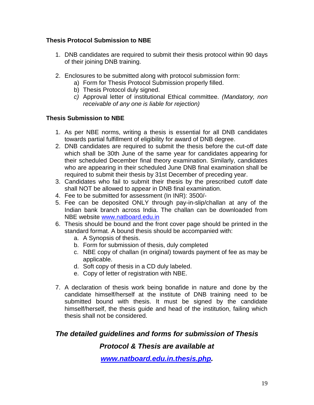### **Thesis Protocol Submission to NBE**

- 1. DNB candidates are required to submit their thesis protocol within 90 days of their joining DNB training.
- 2. Enclosures to be submitted along with protocol submission form:
	- a) Form for Thesis Protocol Submission properly filled.
	- b) Thesis Protocol duly signed.
	- *c)* Approval letter of institutional Ethical committee. *(Mandatory, non receivable of any one is liable for rejection)*

### **Thesis Submission to NBE**

- 1. As per NBE norms, writing a thesis is essential for all DNB candidates towards partial fulfillment of eligibility for award of DNB degree.
- 2. DNB candidates are required to submit the thesis before the cut-off date which shall be 30th June of the same year for candidates appearing for their scheduled December final theory examination. Similarly, candidates who are appearing in their scheduled June DNB final examination shall be required to submit their thesis by 31st December of preceding year.
- 3. Candidates who fail to submit their thesis by the prescribed cutoff date shall NOT be allowed to appear in DNB final examination.
- 4. Fee to be submitted for assessment (In INR): 3500/-
- 5. Fee can be deposited ONLY through pay-in-slip/challan at any of the Indian bank branch across India. The challan can be downloaded from NBE website [www.natboard.edu.in](http://www.natboard.edu.in/)
- 6. Thesis should be bound and the front cover page should be printed in the standard format. A bound thesis should be accompanied with:
	- a. A Synopsis of thesis.
	- b. Form for submission of thesis, duly completed
	- c. NBE copy of challan (in original) towards payment of fee as may be applicable.
	- d. Soft copy of thesis in a CD duly labeled.
	- e. Copy of letter of registration with NBE.
- 7. A declaration of thesis work being bonafide in nature and done by the candidate himself/herself at the institute of DNB training need to be submitted bound with thesis. It must be signed by the candidate himself/herself, the thesis guide and head of the institution, failing which thesis shall not be considered.

# *The detailed guidelines and forms for submission of Thesis*

### *Protocol & Thesis are available at*

*[www.natboard.edu.in.thesis.php.](http://www.natboard.edu.in.thesis.php/)*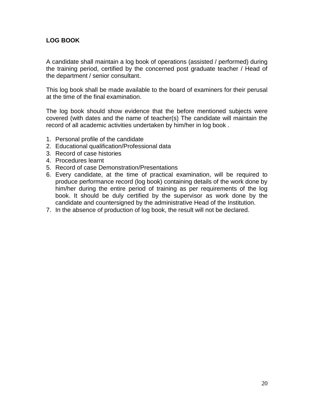### **LOG BOOK**

A candidate shall maintain a log book of operations (assisted / performed) during the training period, certified by the concerned post graduate teacher / Head of the department / senior consultant.

This log book shall be made available to the board of examiners for their perusal at the time of the final examination.

The log book should show evidence that the before mentioned subjects were covered (with dates and the name of teacher(s) The candidate will maintain the record of all academic activities undertaken by him/her in log book .

- 1. Personal profile of the candidate
- 2. Educational qualification/Professional data
- 3. Record of case histories
- 4. Procedures learnt
- 5. Record of case Demonstration/Presentations
- 6. Every candidate, at the time of practical examination, will be required to produce performance record (log book) containing details of the work done by him/her during the entire period of training as per requirements of the log book. It should be duly certified by the supervisor as work done by the candidate and countersigned by the administrative Head of the Institution.
- 7. In the absence of production of log book, the result will not be declared.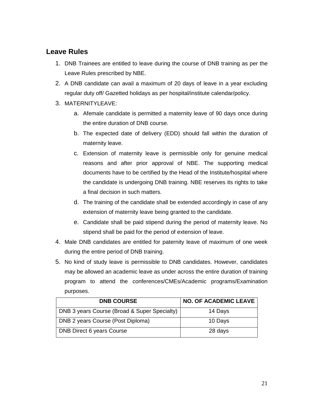# **Leave Rules**

- 1. DNB Trainees are entitled to leave during the course of DNB training as per the Leave Rules prescribed by NBE.
- 2. A DNB candidate can avail a maximum of 20 days of leave in a year excluding regular duty off/ Gazetted holidays as per hospital/institute calendar/policy.
- 3. MATERNITYLEAVE:
	- a. Afemale candidate is permitted a maternity leave of 90 days once during the entire duration of DNB course.
	- b. The expected date of delivery (EDD) should fall within the duration of maternity leave.
	- c. Extension of maternity leave is permissible only for genuine medical reasons and after prior approval of NBE. The supporting medical documents have to be certified by the Head of the Institute/hospital where the candidate is undergoing DNB training. NBE reserves its rights to take a final decision in such matters.
	- d. The training of the candidate shall be extended accordingly in case of any extension of maternity leave being granted to the candidate.
	- e. Candidate shall be paid stipend during the period of maternity leave. No stipend shall be paid for the period of extension of leave.
- 4. Male DNB candidates are entitled for paternity leave of maximum of one week during the entire period of DNB training.
- 5. No kind of study leave is permissible to DNB candidates. However, candidates may be allowed an academic leave as under across the entire duration of training program to attend the conferences/CMEs/Academic programs/Examination purposes.

| <b>DNB COURSE</b>                            | <b>NO. OF ACADEMIC LEAVE</b> |
|----------------------------------------------|------------------------------|
| DNB 3 years Course (Broad & Super Specialty) | 14 Days                      |
| DNB 2 years Course (Post Diploma)            | 10 Days                      |
| <b>DNB Direct 6 years Course</b>             | 28 days                      |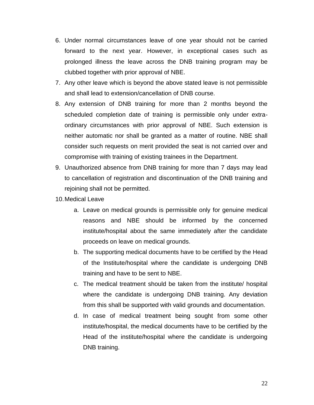- 6. Under normal circumstances leave of one year should not be carried forward to the next year. However, in exceptional cases such as prolonged illness the leave across the DNB training program may be clubbed together with prior approval of NBE.
- 7. Any other leave which is beyond the above stated leave is not permissible and shall lead to extension/cancellation of DNB course.
- 8. Any extension of DNB training for more than 2 months beyond the scheduled completion date of training is permissible only under extraordinary circumstances with prior approval of NBE. Such extension is neither automatic nor shall be granted as a matter of routine. NBE shall consider such requests on merit provided the seat is not carried over and compromise with training of existing trainees in the Department.
- 9. Unauthorized absence from DNB training for more than 7 days may lead to cancellation of registration and discontinuation of the DNB training and rejoining shall not be permitted.
- 10.Medical Leave
	- a. Leave on medical grounds is permissible only for genuine medical reasons and NBE should be informed by the concerned institute/hospital about the same immediately after the candidate proceeds on leave on medical grounds.
	- b. The supporting medical documents have to be certified by the Head of the Institute/hospital where the candidate is undergoing DNB training and have to be sent to NBE.
	- c. The medical treatment should be taken from the institute/ hospital where the candidate is undergoing DNB training. Any deviation from this shall be supported with valid grounds and documentation.
	- d. In case of medical treatment being sought from some other institute/hospital, the medical documents have to be certified by the Head of the institute/hospital where the candidate is undergoing DNB training.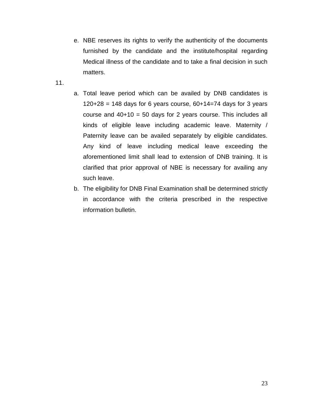- e. NBE reserves its rights to verify the authenticity of the documents furnished by the candidate and the institute/hospital regarding Medical illness of the candidate and to take a final decision in such matters.
- 11.
- a. Total leave period which can be availed by DNB candidates is  $120+28 = 148$  days for 6 years course,  $60+14=74$  days for 3 years course and  $40+10 = 50$  days for 2 years course. This includes all kinds of eligible leave including academic leave. Maternity / Paternity leave can be availed separately by eligible candidates. Any kind of leave including medical leave exceeding the aforementioned limit shall lead to extension of DNB training. It is clarified that prior approval of NBE is necessary for availing any such leave.
- b. The eligibility for DNB Final Examination shall be determined strictly in accordance with the criteria prescribed in the respective information bulletin.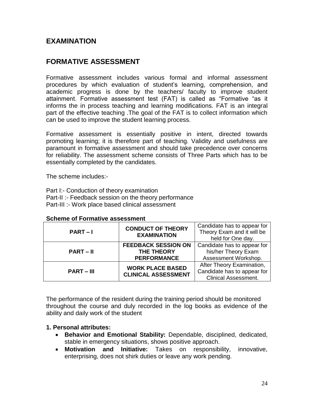# **EXAMINATION**

# **FORMATIVE ASSESSMENT**

Formative assessment includes various formal and informal assessment procedures by which evaluation of student's learning, comprehension, and academic progress is done by the teachers/ faculty to improve student attainment. Formative assessment test (FAT) is called as "Formative "as it informs the in process teaching and learning modifications. FAT is an integral part of the effective teaching .The goal of the FAT is to collect information which can be used to improve the student learning process.

Formative assessment is essentially positive in intent, directed towards promoting learning; it is therefore part of teaching. Validity and usefulness are paramount in formative assessment and should take precedence over concerns for reliability. The assessment scheme consists of Three Parts which has to be essentially completed by the candidates.

The scheme includes:-

Part I:- Conduction of theory examination Part-II :- Feedback session on the theory performance Part-III :- Work place based clinical assessment

| <b>CONDUCT OF THEORY</b><br>$PART-I$<br><b>EXAMINATION</b> | Candidate has to appear for |                             |
|------------------------------------------------------------|-----------------------------|-----------------------------|
|                                                            |                             | Theory Exam and it will be  |
|                                                            |                             | held for One day.           |
| $PART - II$                                                | <b>FEEDBACK SESSION ON</b>  | Candidate has to appear for |
|                                                            | <b>THE THEORY</b>           | his/her Theory Exam         |
|                                                            | <b>PERFORMANCE</b>          | Assessment Workshop.        |
| $PART - III$                                               | <b>WORK PLACE BASED</b>     | After Theory Examination,   |
|                                                            | <b>CLINICAL ASSESSMENT</b>  | Candidate has to appear for |
|                                                            |                             | <b>Clinical Assessment.</b> |

#### **Scheme of Formative assessment**

The performance of the resident during the training period should be monitored throughout the course and duly recorded in the log books as evidence of the ability and daily work of the student

#### **1. Personal attributes:**

- **Behavior and Emotional Stability:** Dependable, disciplined, dedicated, stable in emergency situations, shows positive approach.
- **Motivation and Initiative:** Takes on responsibility, innovative, enterprising, does not shirk duties or leave any work pending.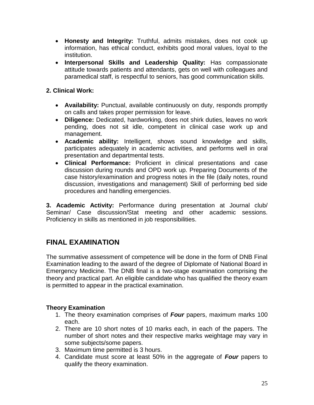- **Honesty and Integrity:** Truthful, admits mistakes, does not cook up information, has ethical conduct, exhibits good moral values, loyal to the institution.
- **Interpersonal Skills and Leadership Quality:** Has compassionate attitude towards patients and attendants, gets on well with colleagues and paramedical staff, is respectful to seniors, has good communication skills.

### **2. Clinical Work:**

- **Availability:** Punctual, available continuously on duty, responds promptly on calls and takes proper permission for leave.
- **Diligence:** Dedicated, hardworking, does not shirk duties, leaves no work pending, does not sit idle, competent in clinical case work up and management.
- **Academic ability:** Intelligent, shows sound knowledge and skills, participates adequately in academic activities, and performs well in oral presentation and departmental tests.
- **Clinical Performance:** Proficient in clinical presentations and case discussion during rounds and OPD work up. Preparing Documents of the case history/examination and progress notes in the file (daily notes, round discussion, investigations and management) Skill of performing bed side procedures and handling emergencies.

**3. Academic Activity:** Performance during presentation at Journal club/ Seminar/ Case discussion/Stat meeting and other academic sessions. Proficiency in skills as mentioned in job responsibilities.

# **FINAL EXAMINATION**

The summative assessment of competence will be done in the form of DNB Final Examination leading to the award of the degree of Diplomate of National Board in Emergency Medicine. The DNB final is a two-stage examination comprising the theory and practical part. An eligible candidate who has qualified the theory exam is permitted to appear in the practical examination.

### **Theory Examination**

- 1. The theory examination comprises of *Four* papers, maximum marks 100 each.
- 2. There are 10 short notes of 10 marks each, in each of the papers. The number of short notes and their respective marks weightage may vary in some subjects/some papers.
- 3. Maximum time permitted is 3 hours.
- 4. Candidate must score at least 50% in the aggregate of *Four* papers to qualify the theory examination.